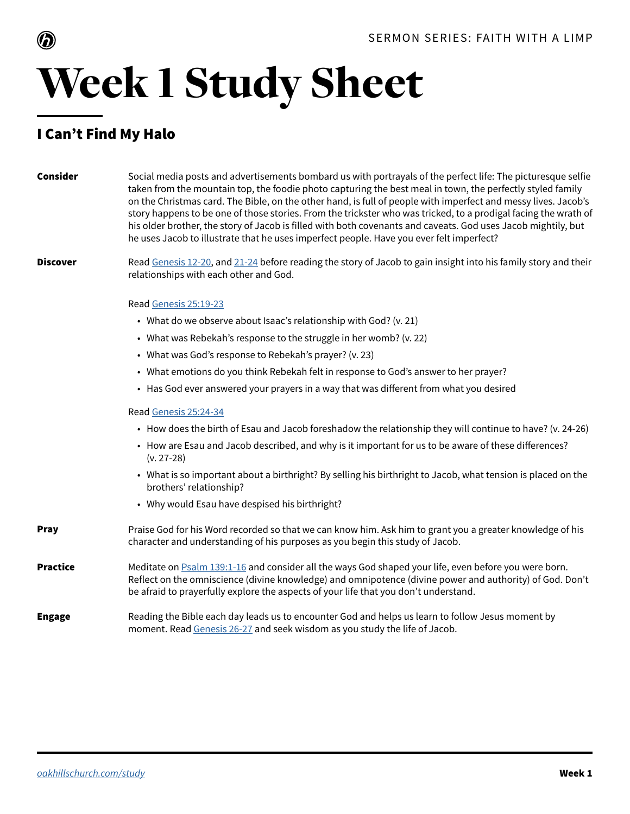

## Week 1 Study Sheet

### I Can't Find My Halo

| Consider        | Social media posts and advertisements bombard us with portrayals of the perfect life: The picturesque selfie<br>taken from the mountain top, the foodie photo capturing the best meal in town, the perfectly styled family<br>on the Christmas card. The Bible, on the other hand, is full of people with imperfect and messy lives. Jacob's<br>story happens to be one of those stories. From the trickster who was tricked, to a prodigal facing the wrath of<br>his older brother, the story of Jacob is filled with both covenants and caveats. God uses Jacob mightily, but<br>he uses Jacob to illustrate that he uses imperfect people. Have you ever felt imperfect? |
|-----------------|------------------------------------------------------------------------------------------------------------------------------------------------------------------------------------------------------------------------------------------------------------------------------------------------------------------------------------------------------------------------------------------------------------------------------------------------------------------------------------------------------------------------------------------------------------------------------------------------------------------------------------------------------------------------------|
| <b>Discover</b> | Read Genesis 12-20, and 21-24 before reading the story of Jacob to gain insight into his family story and their<br>relationships with each other and God.                                                                                                                                                                                                                                                                                                                                                                                                                                                                                                                    |
|                 | Read Genesis 25:19-23                                                                                                                                                                                                                                                                                                                                                                                                                                                                                                                                                                                                                                                        |
|                 | • What do we observe about Isaac's relationship with God? (v. 21)                                                                                                                                                                                                                                                                                                                                                                                                                                                                                                                                                                                                            |
|                 | • What was Rebekah's response to the struggle in her womb? (v. 22)                                                                                                                                                                                                                                                                                                                                                                                                                                                                                                                                                                                                           |
|                 | • What was God's response to Rebekah's prayer? (v. 23)                                                                                                                                                                                                                                                                                                                                                                                                                                                                                                                                                                                                                       |
|                 | • What emotions do you think Rebekah felt in response to God's answer to her prayer?                                                                                                                                                                                                                                                                                                                                                                                                                                                                                                                                                                                         |
|                 | • Has God ever answered your prayers in a way that was different from what you desired                                                                                                                                                                                                                                                                                                                                                                                                                                                                                                                                                                                       |
|                 | Read Genesis 25:24-34                                                                                                                                                                                                                                                                                                                                                                                                                                                                                                                                                                                                                                                        |
|                 | • How does the birth of Esau and Jacob foreshadow the relationship they will continue to have? (v. 24-26)                                                                                                                                                                                                                                                                                                                                                                                                                                                                                                                                                                    |
|                 | • How are Esau and Jacob described, and why is it important for us to be aware of these differences?<br>$(v. 27-28)$                                                                                                                                                                                                                                                                                                                                                                                                                                                                                                                                                         |
|                 | • What is so important about a birthright? By selling his birthright to Jacob, what tension is placed on the<br>brothers' relationship?                                                                                                                                                                                                                                                                                                                                                                                                                                                                                                                                      |
|                 | • Why would Esau have despised his birthright?                                                                                                                                                                                                                                                                                                                                                                                                                                                                                                                                                                                                                               |
| <b>Pray</b>     | Praise God for his Word recorded so that we can know him. Ask him to grant you a greater knowledge of his<br>character and understanding of his purposes as you begin this study of Jacob.                                                                                                                                                                                                                                                                                                                                                                                                                                                                                   |
| <b>Practice</b> | Meditate on <b>Psalm 139:1-16</b> and consider all the ways God shaped your life, even before you were born.<br>Reflect on the omniscience (divine knowledge) and omnipotence (divine power and authority) of God. Don't<br>be afraid to prayerfully explore the aspects of your life that you don't understand.                                                                                                                                                                                                                                                                                                                                                             |
| <b>Engage</b>   | Reading the Bible each day leads us to encounter God and helps us learn to follow Jesus moment by<br>moment. Read Genesis 26-27 and seek wisdom as you study the life of Jacob.                                                                                                                                                                                                                                                                                                                                                                                                                                                                                              |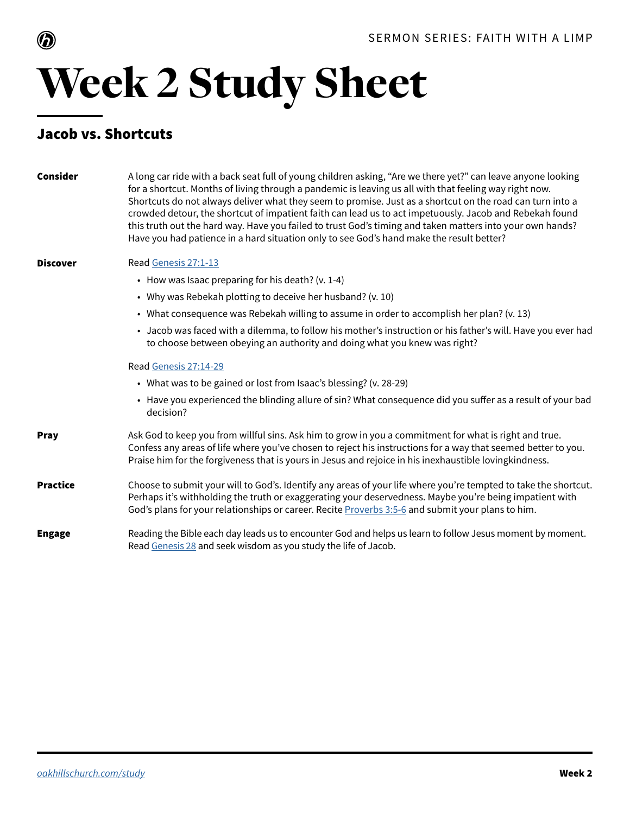

## Week 2 Study Sheet

### Jacob vs. Shortcuts

| Consider        | A long car ride with a back seat full of young children asking, "Are we there yet?" can leave anyone looking<br>for a shortcut. Months of living through a pandemic is leaving us all with that feeling way right now.<br>Shortcuts do not always deliver what they seem to promise. Just as a shortcut on the road can turn into a<br>crowded detour, the shortcut of impatient faith can lead us to act impetuously. Jacob and Rebekah found<br>this truth out the hard way. Have you failed to trust God's timing and taken matters into your own hands?<br>Have you had patience in a hard situation only to see God's hand make the result better? |
|-----------------|---------------------------------------------------------------------------------------------------------------------------------------------------------------------------------------------------------------------------------------------------------------------------------------------------------------------------------------------------------------------------------------------------------------------------------------------------------------------------------------------------------------------------------------------------------------------------------------------------------------------------------------------------------|
| <b>Discover</b> | Read Genesis 27:1-13                                                                                                                                                                                                                                                                                                                                                                                                                                                                                                                                                                                                                                    |
|                 | • How was Isaac preparing for his death? (v. 1-4)                                                                                                                                                                                                                                                                                                                                                                                                                                                                                                                                                                                                       |
|                 | • Why was Rebekah plotting to deceive her husband? (v. 10)                                                                                                                                                                                                                                                                                                                                                                                                                                                                                                                                                                                              |
|                 | • What consequence was Rebekah willing to assume in order to accomplish her plan? ( $v. 13$ )                                                                                                                                                                                                                                                                                                                                                                                                                                                                                                                                                           |
|                 | • Jacob was faced with a dilemma, to follow his mother's instruction or his father's will. Have you ever had<br>to choose between obeying an authority and doing what you knew was right?                                                                                                                                                                                                                                                                                                                                                                                                                                                               |
|                 | Read Genesis 27:14-29                                                                                                                                                                                                                                                                                                                                                                                                                                                                                                                                                                                                                                   |
|                 | • What was to be gained or lost from Isaac's blessing? (v. 28-29)                                                                                                                                                                                                                                                                                                                                                                                                                                                                                                                                                                                       |
|                 | • Have you experienced the blinding allure of sin? What consequence did you suffer as a result of your bad<br>decision?                                                                                                                                                                                                                                                                                                                                                                                                                                                                                                                                 |
| <b>Pray</b>     | Ask God to keep you from willful sins. Ask him to grow in you a commitment for what is right and true.<br>Confess any areas of life where you've chosen to reject his instructions for a way that seemed better to you.<br>Praise him for the forgiveness that is yours in Jesus and rejoice in his inexhaustible lovingkindness.                                                                                                                                                                                                                                                                                                                       |
| <b>Practice</b> | Choose to submit your will to God's. Identify any areas of your life where you're tempted to take the shortcut.<br>Perhaps it's withholding the truth or exaggerating your deservedness. Maybe you're being impatient with<br>God's plans for your relationships or career. Recite Proverbs 3:5-6 and submit your plans to him.                                                                                                                                                                                                                                                                                                                         |
| <b>Engage</b>   | Reading the Bible each day leads us to encounter God and helps us learn to follow Jesus moment by moment.<br>Read Genesis 28 and seek wisdom as you study the life of Jacob.                                                                                                                                                                                                                                                                                                                                                                                                                                                                            |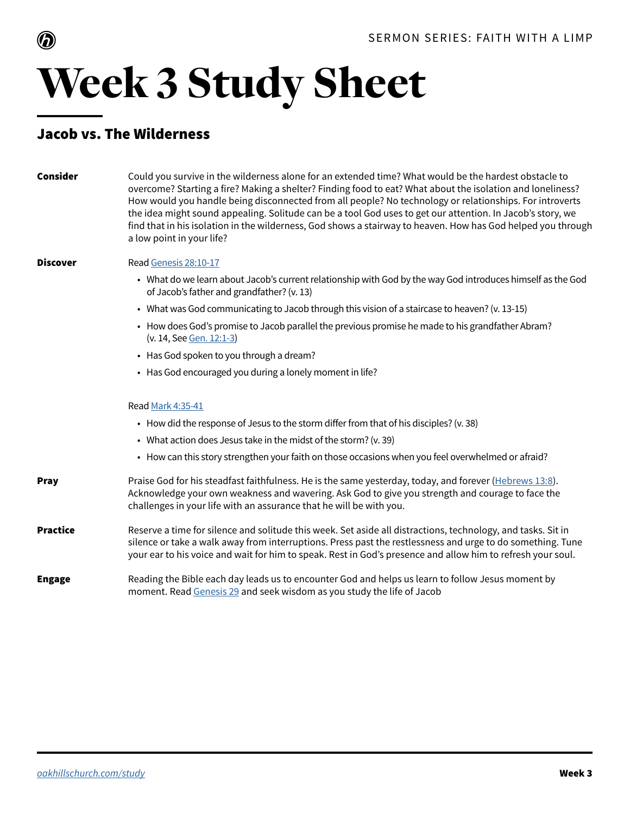

## Week 3 Study Sheet

### Jacob vs. The Wilderness

| <b>Consider</b> | Could you survive in the wilderness alone for an extended time? What would be the hardest obstacle to<br>overcome? Starting a fire? Making a shelter? Finding food to eat? What about the isolation and loneliness?<br>How would you handle being disconnected from all people? No technology or relationships. For introverts<br>the idea might sound appealing. Solitude can be a tool God uses to get our attention. In Jacob's story, we<br>find that in his isolation in the wilderness, God shows a stairway to heaven. How has God helped you through<br>a low point in your life? |
|-----------------|-------------------------------------------------------------------------------------------------------------------------------------------------------------------------------------------------------------------------------------------------------------------------------------------------------------------------------------------------------------------------------------------------------------------------------------------------------------------------------------------------------------------------------------------------------------------------------------------|
| <b>Discover</b> | Read Genesis 28:10-17                                                                                                                                                                                                                                                                                                                                                                                                                                                                                                                                                                     |
|                 | • What do we learn about Jacob's current relationship with God by the way God introduces himself as the God<br>of Jacob's father and grandfather? (v. 13)                                                                                                                                                                                                                                                                                                                                                                                                                                 |
|                 | • What was God communicating to Jacob through this vision of a staircase to heaven? (v. 13-15)                                                                                                                                                                                                                                                                                                                                                                                                                                                                                            |
|                 | • How does God's promise to Jacob parallel the previous promise he made to his grandfather Abram?<br>(v. 14, See Gen. 12:1-3)                                                                                                                                                                                                                                                                                                                                                                                                                                                             |
|                 | • Has God spoken to you through a dream?                                                                                                                                                                                                                                                                                                                                                                                                                                                                                                                                                  |
|                 | • Has God encouraged you during a lonely moment in life?                                                                                                                                                                                                                                                                                                                                                                                                                                                                                                                                  |
|                 | Read Mark 4:35-41                                                                                                                                                                                                                                                                                                                                                                                                                                                                                                                                                                         |
|                 | • How did the response of Jesus to the storm differ from that of his disciples? (v. 38)                                                                                                                                                                                                                                                                                                                                                                                                                                                                                                   |
|                 | • What action does Jesus take in the midst of the storm? (v. 39)                                                                                                                                                                                                                                                                                                                                                                                                                                                                                                                          |
|                 | • How can this story strengthen your faith on those occasions when you feel overwhelmed or afraid?                                                                                                                                                                                                                                                                                                                                                                                                                                                                                        |
| <b>Pray</b>     | Praise God for his steadfast faithfulness. He is the same yesterday, today, and forever (Hebrews 13:8).<br>Acknowledge your own weakness and wavering. Ask God to give you strength and courage to face the<br>challenges in your life with an assurance that he will be with you.                                                                                                                                                                                                                                                                                                        |
| <b>Practice</b> | Reserve a time for silence and solitude this week. Set aside all distractions, technology, and tasks. Sit in<br>silence or take a walk away from interruptions. Press past the restlessness and urge to do something. Tune<br>your ear to his voice and wait for him to speak. Rest in God's presence and allow him to refresh your soul.                                                                                                                                                                                                                                                 |
| <b>Engage</b>   | Reading the Bible each day leads us to encounter God and helps us learn to follow Jesus moment by<br>moment. Read Genesis 29 and seek wisdom as you study the life of Jacob                                                                                                                                                                                                                                                                                                                                                                                                               |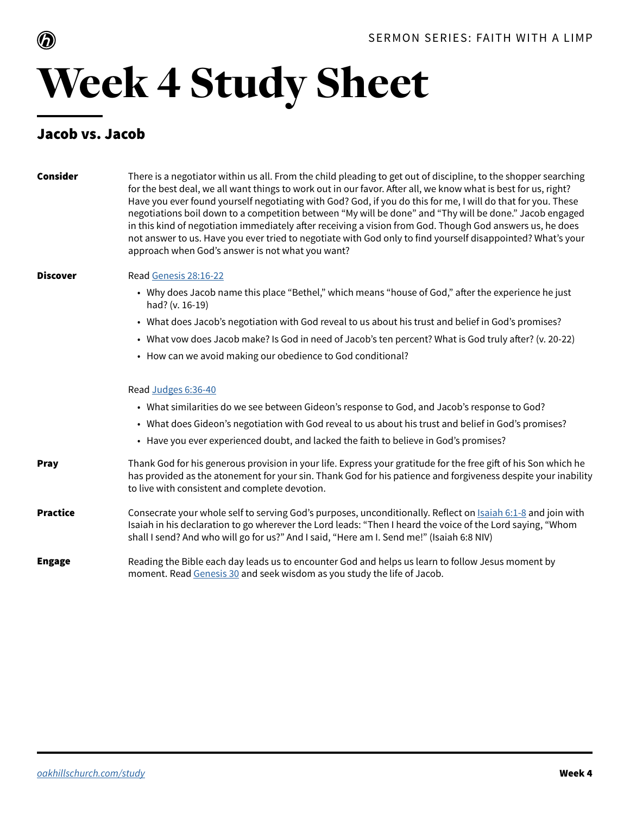

## Week 4 Study Sheet

#### Jacob vs. Jacob

| <b>Consider</b> | There is a negotiator within us all. From the child pleading to get out of discipline, to the shopper searching<br>for the best deal, we all want things to work out in our favor. After all, we know what is best for us, right?<br>Have you ever found yourself negotiating with God? God, if you do this for me, I will do that for you. These<br>negotiations boil down to a competition between "My will be done" and "Thy will be done." Jacob engaged<br>in this kind of negotiation immediately after receiving a vision from God. Though God answers us, he does<br>not answer to us. Have you ever tried to negotiate with God only to find yourself disappointed? What's your<br>approach when God's answer is not what you want? |
|-----------------|----------------------------------------------------------------------------------------------------------------------------------------------------------------------------------------------------------------------------------------------------------------------------------------------------------------------------------------------------------------------------------------------------------------------------------------------------------------------------------------------------------------------------------------------------------------------------------------------------------------------------------------------------------------------------------------------------------------------------------------------|
| <b>Discover</b> | Read Genesis 28:16-22                                                                                                                                                                                                                                                                                                                                                                                                                                                                                                                                                                                                                                                                                                                        |
|                 | • Why does Jacob name this place "Bethel," which means "house of God," after the experience he just<br>had? (v. 16-19)                                                                                                                                                                                                                                                                                                                                                                                                                                                                                                                                                                                                                       |
|                 | • What does Jacob's negotiation with God reveal to us about his trust and belief in God's promises?                                                                                                                                                                                                                                                                                                                                                                                                                                                                                                                                                                                                                                          |
|                 | • What vow does Jacob make? Is God in need of Jacob's ten percent? What is God truly after? (v. 20-22)                                                                                                                                                                                                                                                                                                                                                                                                                                                                                                                                                                                                                                       |
|                 | • How can we avoid making our obedience to God conditional?                                                                                                                                                                                                                                                                                                                                                                                                                                                                                                                                                                                                                                                                                  |
|                 | Read Judges 6:36-40                                                                                                                                                                                                                                                                                                                                                                                                                                                                                                                                                                                                                                                                                                                          |
|                 | • What similarities do we see between Gideon's response to God, and Jacob's response to God?                                                                                                                                                                                                                                                                                                                                                                                                                                                                                                                                                                                                                                                 |
|                 | • What does Gideon's negotiation with God reveal to us about his trust and belief in God's promises?                                                                                                                                                                                                                                                                                                                                                                                                                                                                                                                                                                                                                                         |
|                 | • Have you ever experienced doubt, and lacked the faith to believe in God's promises?                                                                                                                                                                                                                                                                                                                                                                                                                                                                                                                                                                                                                                                        |
| <b>Pray</b>     | Thank God for his generous provision in your life. Express your gratitude for the free gift of his Son which he<br>has provided as the atonement for your sin. Thank God for his patience and forgiveness despite your inability<br>to live with consistent and complete devotion.                                                                                                                                                                                                                                                                                                                                                                                                                                                           |
| <b>Practice</b> | Consecrate your whole self to serving God's purposes, unconditionally. Reflect on <b>Isaiah 6:1-8</b> and join with<br>Isaiah in his declaration to go wherever the Lord leads: "Then I heard the voice of the Lord saying, "Whom<br>shall I send? And who will go for us?" And I said, "Here am I. Send me!" (Isaiah 6:8 NIV)                                                                                                                                                                                                                                                                                                                                                                                                               |
| <b>Engage</b>   | Reading the Bible each day leads us to encounter God and helps us learn to follow Jesus moment by<br>moment. Read Genesis 30 and seek wisdom as you study the life of Jacob.                                                                                                                                                                                                                                                                                                                                                                                                                                                                                                                                                                 |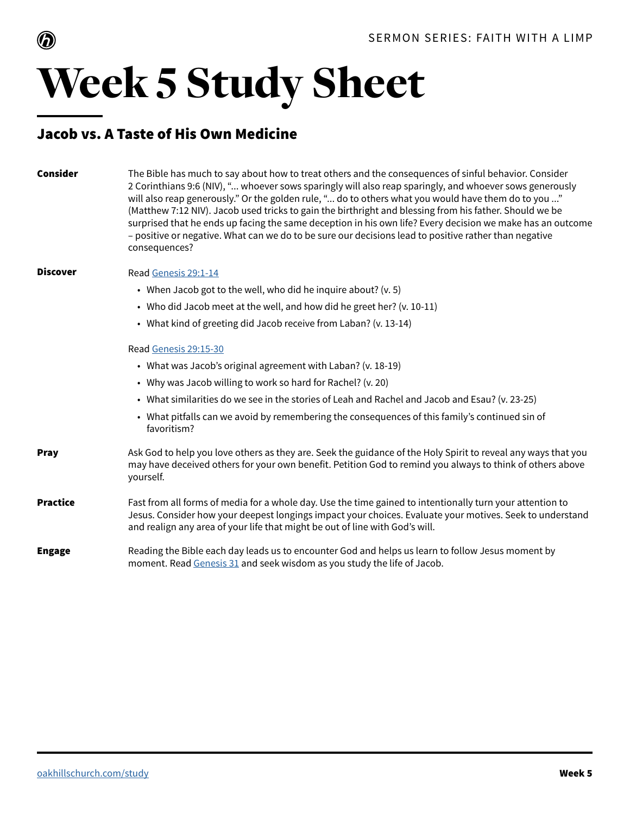



### Week 5 Study Sheet

#### Jacob vs. A Taste of His Own Medicine

| <b>Consider</b> | The Bible has much to say about how to treat others and the consequences of sinful behavior. Consider<br>2 Corinthians 9:6 (NIV), " whoever sows sparingly will also reap sparingly, and whoever sows generously<br>will also reap generously." Or the golden rule, " do to others what you would have them do to you "<br>(Matthew 7:12 NIV). Jacob used tricks to gain the birthright and blessing from his father. Should we be<br>surprised that he ends up facing the same deception in his own life? Every decision we make has an outcome<br>- positive or negative. What can we do to be sure our decisions lead to positive rather than negative<br>consequences? |
|-----------------|----------------------------------------------------------------------------------------------------------------------------------------------------------------------------------------------------------------------------------------------------------------------------------------------------------------------------------------------------------------------------------------------------------------------------------------------------------------------------------------------------------------------------------------------------------------------------------------------------------------------------------------------------------------------------|
| <b>Discover</b> | Read Genesis 29:1-14                                                                                                                                                                                                                                                                                                                                                                                                                                                                                                                                                                                                                                                       |
|                 | • When Jacob got to the well, who did he inquire about? (v. 5)                                                                                                                                                                                                                                                                                                                                                                                                                                                                                                                                                                                                             |
|                 | • Who did Jacob meet at the well, and how did he greet her? (v. 10-11)                                                                                                                                                                                                                                                                                                                                                                                                                                                                                                                                                                                                     |
|                 | • What kind of greeting did Jacob receive from Laban? (v. 13-14)                                                                                                                                                                                                                                                                                                                                                                                                                                                                                                                                                                                                           |
|                 | Read Genesis 29:15-30                                                                                                                                                                                                                                                                                                                                                                                                                                                                                                                                                                                                                                                      |
|                 | • What was Jacob's original agreement with Laban? (v. 18-19)                                                                                                                                                                                                                                                                                                                                                                                                                                                                                                                                                                                                               |
|                 | • Why was Jacob willing to work so hard for Rachel? (v. 20)                                                                                                                                                                                                                                                                                                                                                                                                                                                                                                                                                                                                                |
|                 | • What similarities do we see in the stories of Leah and Rachel and Jacob and Esau? (v. 23-25)                                                                                                                                                                                                                                                                                                                                                                                                                                                                                                                                                                             |
|                 | • What pitfalls can we avoid by remembering the consequences of this family's continued sin of<br>favoritism?                                                                                                                                                                                                                                                                                                                                                                                                                                                                                                                                                              |
| <b>Pray</b>     | Ask God to help you love others as they are. Seek the guidance of the Holy Spirit to reveal any ways that you<br>may have deceived others for your own benefit. Petition God to remind you always to think of others above<br>yourself.                                                                                                                                                                                                                                                                                                                                                                                                                                    |
| <b>Practice</b> | Fast from all forms of media for a whole day. Use the time gained to intentionally turn your attention to<br>Jesus. Consider how your deepest longings impact your choices. Evaluate your motives. Seek to understand<br>and realign any area of your life that might be out of line with God's will.                                                                                                                                                                                                                                                                                                                                                                      |
| <b>Engage</b>   | Reading the Bible each day leads us to encounter God and helps us learn to follow Jesus moment by<br>moment. Read Genesis 31 and seek wisdom as you study the life of Jacob.                                                                                                                                                                                                                                                                                                                                                                                                                                                                                               |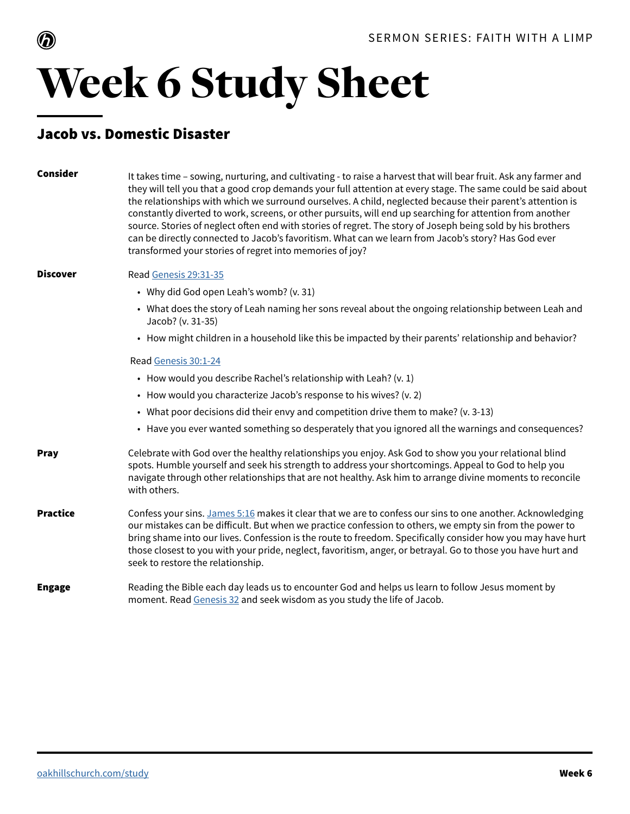

## Week 6 Study Sheet

#### Jacob vs. Domestic Disaster

| Consider        | It takes time - sowing, nurturing, and cultivating - to raise a harvest that will bear fruit. Ask any farmer and<br>they will tell you that a good crop demands your full attention at every stage. The same could be said about<br>the relationships with which we surround ourselves. A child, neglected because their parent's attention is<br>constantly diverted to work, screens, or other pursuits, will end up searching for attention from another<br>source. Stories of neglect often end with stories of regret. The story of Joseph being sold by his brothers<br>can be directly connected to Jacob's favoritism. What can we learn from Jacob's story? Has God ever<br>transformed your stories of regret into memories of joy? |
|-----------------|-----------------------------------------------------------------------------------------------------------------------------------------------------------------------------------------------------------------------------------------------------------------------------------------------------------------------------------------------------------------------------------------------------------------------------------------------------------------------------------------------------------------------------------------------------------------------------------------------------------------------------------------------------------------------------------------------------------------------------------------------|
| <b>Discover</b> | Read Genesis 29:31-35                                                                                                                                                                                                                                                                                                                                                                                                                                                                                                                                                                                                                                                                                                                         |
|                 | • Why did God open Leah's womb? (v. 31)                                                                                                                                                                                                                                                                                                                                                                                                                                                                                                                                                                                                                                                                                                       |
|                 | • What does the story of Leah naming her sons reveal about the ongoing relationship between Leah and<br>Jacob? (v. 31-35)                                                                                                                                                                                                                                                                                                                                                                                                                                                                                                                                                                                                                     |
|                 | • How might children in a household like this be impacted by their parents' relationship and behavior?                                                                                                                                                                                                                                                                                                                                                                                                                                                                                                                                                                                                                                        |
|                 | Read Genesis 30:1-24                                                                                                                                                                                                                                                                                                                                                                                                                                                                                                                                                                                                                                                                                                                          |
|                 | • How would you describe Rachel's relationship with Leah? (v. 1)                                                                                                                                                                                                                                                                                                                                                                                                                                                                                                                                                                                                                                                                              |
|                 | • How would you characterize Jacob's response to his wives? (v. 2)                                                                                                                                                                                                                                                                                                                                                                                                                                                                                                                                                                                                                                                                            |
|                 | • What poor decisions did their envy and competition drive them to make? (v. 3-13)                                                                                                                                                                                                                                                                                                                                                                                                                                                                                                                                                                                                                                                            |
|                 | • Have you ever wanted something so desperately that you ignored all the warnings and consequences?                                                                                                                                                                                                                                                                                                                                                                                                                                                                                                                                                                                                                                           |
| <b>Pray</b>     | Celebrate with God over the healthy relationships you enjoy. Ask God to show you your relational blind<br>spots. Humble yourself and seek his strength to address your shortcomings. Appeal to God to help you<br>navigate through other relationships that are not healthy. Ask him to arrange divine moments to reconcile<br>with others.                                                                                                                                                                                                                                                                                                                                                                                                   |
| <b>Practice</b> | Confess your sins. James 5:16 makes it clear that we are to confess our sins to one another. Acknowledging<br>our mistakes can be difficult. But when we practice confession to others, we empty sin from the power to<br>bring shame into our lives. Confession is the route to freedom. Specifically consider how you may have hurt<br>those closest to you with your pride, neglect, favoritism, anger, or betrayal. Go to those you have hurt and<br>seek to restore the relationship.                                                                                                                                                                                                                                                    |
| <b>Engage</b>   | Reading the Bible each day leads us to encounter God and helps us learn to follow Jesus moment by<br>moment. Read Genesis 32 and seek wisdom as you study the life of Jacob.                                                                                                                                                                                                                                                                                                                                                                                                                                                                                                                                                                  |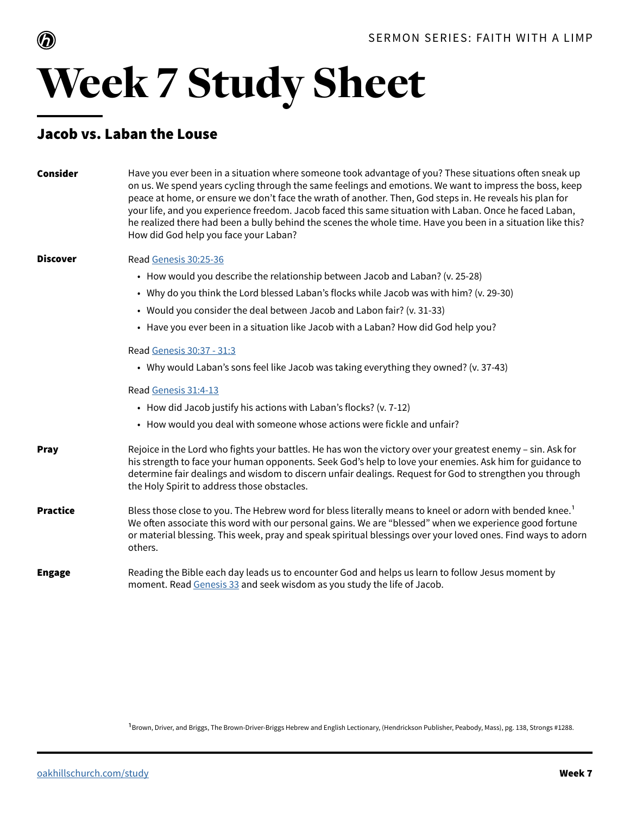

## Week 7 Study Sheet

### Jacob vs. Laban the Louse

| <b>Consider</b> | Have you ever been in a situation where someone took advantage of you? These situations often sneak up<br>on us. We spend years cycling through the same feelings and emotions. We want to impress the boss, keep<br>peace at home, or ensure we don't face the wrath of another. Then, God steps in. He reveals his plan for<br>your life, and you experience freedom. Jacob faced this same situation with Laban. Once he faced Laban,<br>he realized there had been a bully behind the scenes the whole time. Have you been in a situation like this?<br>How did God help you face your Laban? |
|-----------------|---------------------------------------------------------------------------------------------------------------------------------------------------------------------------------------------------------------------------------------------------------------------------------------------------------------------------------------------------------------------------------------------------------------------------------------------------------------------------------------------------------------------------------------------------------------------------------------------------|
| <b>Discover</b> | Read Genesis 30:25-36                                                                                                                                                                                                                                                                                                                                                                                                                                                                                                                                                                             |
|                 | • How would you describe the relationship between Jacob and Laban? (v. 25-28)                                                                                                                                                                                                                                                                                                                                                                                                                                                                                                                     |
|                 | • Why do you think the Lord blessed Laban's flocks while Jacob was with him? (v. 29-30)                                                                                                                                                                                                                                                                                                                                                                                                                                                                                                           |
|                 | • Would you consider the deal between Jacob and Labon fair? (v. 31-33)                                                                                                                                                                                                                                                                                                                                                                                                                                                                                                                            |
|                 | • Have you ever been in a situation like Jacob with a Laban? How did God help you?                                                                                                                                                                                                                                                                                                                                                                                                                                                                                                                |
|                 | Read Genesis 30:37 - 31:3                                                                                                                                                                                                                                                                                                                                                                                                                                                                                                                                                                         |
|                 | • Why would Laban's sons feel like Jacob was taking everything they owned? (v. 37-43)                                                                                                                                                                                                                                                                                                                                                                                                                                                                                                             |
|                 | Read Genesis 31:4-13                                                                                                                                                                                                                                                                                                                                                                                                                                                                                                                                                                              |
|                 | • How did Jacob justify his actions with Laban's flocks? (v. 7-12)                                                                                                                                                                                                                                                                                                                                                                                                                                                                                                                                |
|                 | • How would you deal with someone whose actions were fickle and unfair?                                                                                                                                                                                                                                                                                                                                                                                                                                                                                                                           |
| <b>Pray</b>     | Rejoice in the Lord who fights your battles. He has won the victory over your greatest enemy - sin. Ask for<br>his strength to face your human opponents. Seek God's help to love your enemies. Ask him for guidance to<br>determine fair dealings and wisdom to discern unfair dealings. Request for God to strengthen you through<br>the Holy Spirit to address those obstacles.                                                                                                                                                                                                                |
| <b>Practice</b> | Bless those close to you. The Hebrew word for bless literally means to kneel or adorn with bended knee. <sup>1</sup><br>We often associate this word with our personal gains. We are "blessed" when we experience good fortune<br>or material blessing. This week, pray and speak spiritual blessings over your loved ones. Find ways to adorn<br>others.                                                                                                                                                                                                                                         |
| <b>Engage</b>   | Reading the Bible each day leads us to encounter God and helps us learn to follow Jesus moment by<br>moment. Read Genesis 33 and seek wisdom as you study the life of Jacob.                                                                                                                                                                                                                                                                                                                                                                                                                      |

1Brown, Driver, and Briggs, The Brown-Driver-Briggs Hebrew and English Lectionary, (Hendrickson Publisher, Peabody, Mass), pg. 138, Strongs #1288.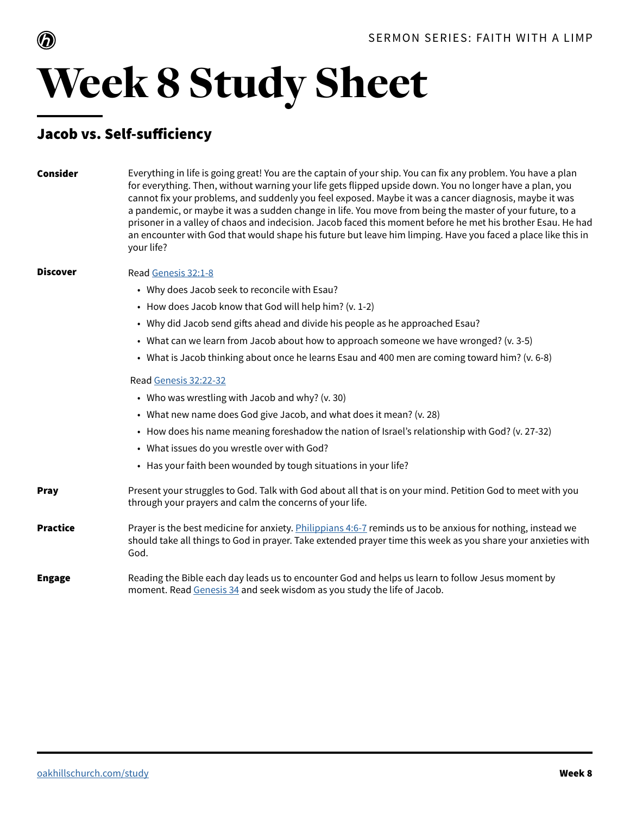

### Week 8 Study Sheet

### Jacob vs. Self-sufficiency

| Consider        | Everything in life is going great! You are the captain of your ship. You can fix any problem. You have a plan<br>for everything. Then, without warning your life gets flipped upside down. You no longer have a plan, you<br>cannot fix your problems, and suddenly you feel exposed. Maybe it was a cancer diagnosis, maybe it was<br>a pandemic, or maybe it was a sudden change in life. You move from being the master of your future, to a<br>prisoner in a valley of chaos and indecision. Jacob faced this moment before he met his brother Esau. He had<br>an encounter with God that would shape his future but leave him limping. Have you faced a place like this in<br>your life? |
|-----------------|-----------------------------------------------------------------------------------------------------------------------------------------------------------------------------------------------------------------------------------------------------------------------------------------------------------------------------------------------------------------------------------------------------------------------------------------------------------------------------------------------------------------------------------------------------------------------------------------------------------------------------------------------------------------------------------------------|
| <b>Discover</b> | Read Genesis 32:1-8                                                                                                                                                                                                                                                                                                                                                                                                                                                                                                                                                                                                                                                                           |
|                 | • Why does Jacob seek to reconcile with Esau?                                                                                                                                                                                                                                                                                                                                                                                                                                                                                                                                                                                                                                                 |
|                 | • How does Jacob know that God will help him? (v. 1-2)                                                                                                                                                                                                                                                                                                                                                                                                                                                                                                                                                                                                                                        |
|                 | • Why did Jacob send gifts ahead and divide his people as he approached Esau?                                                                                                                                                                                                                                                                                                                                                                                                                                                                                                                                                                                                                 |
|                 | • What can we learn from Jacob about how to approach someone we have wronged? (v. 3-5)                                                                                                                                                                                                                                                                                                                                                                                                                                                                                                                                                                                                        |
|                 | • What is Jacob thinking about once he learns Esau and 400 men are coming toward him? (v. 6-8)                                                                                                                                                                                                                                                                                                                                                                                                                                                                                                                                                                                                |
|                 | Read Genesis 32:22-32                                                                                                                                                                                                                                                                                                                                                                                                                                                                                                                                                                                                                                                                         |
|                 | • Who was wrestling with Jacob and why? (v. 30)                                                                                                                                                                                                                                                                                                                                                                                                                                                                                                                                                                                                                                               |
|                 | • What new name does God give Jacob, and what does it mean? (v. 28)                                                                                                                                                                                                                                                                                                                                                                                                                                                                                                                                                                                                                           |
|                 | • How does his name meaning foreshadow the nation of Israel's relationship with God? (v. 27-32)                                                                                                                                                                                                                                                                                                                                                                                                                                                                                                                                                                                               |
|                 | • What issues do you wrestle over with God?                                                                                                                                                                                                                                                                                                                                                                                                                                                                                                                                                                                                                                                   |
|                 | • Has your faith been wounded by tough situations in your life?                                                                                                                                                                                                                                                                                                                                                                                                                                                                                                                                                                                                                               |
| <b>Pray</b>     | Present your struggles to God. Talk with God about all that is on your mind. Petition God to meet with you<br>through your prayers and calm the concerns of your life.                                                                                                                                                                                                                                                                                                                                                                                                                                                                                                                        |
| <b>Practice</b> | Prayer is the best medicine for anxiety. Philippians 4:6-7 reminds us to be anxious for nothing, instead we<br>should take all things to God in prayer. Take extended prayer time this week as you share your anxieties with<br>God.                                                                                                                                                                                                                                                                                                                                                                                                                                                          |
| <b>Engage</b>   | Reading the Bible each day leads us to encounter God and helps us learn to follow Jesus moment by<br>moment. Read Genesis 34 and seek wisdom as you study the life of Jacob.                                                                                                                                                                                                                                                                                                                                                                                                                                                                                                                  |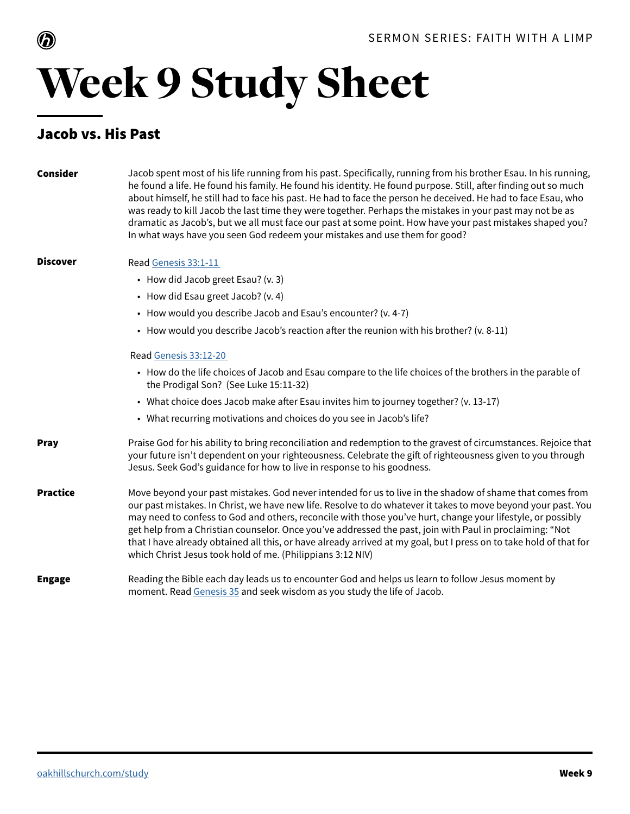

## Week 9 Study Sheet

#### Jacob vs. His Past

| <b>Consider</b> | Jacob spent most of his life running from his past. Specifically, running from his brother Esau. In his running,<br>he found a life. He found his family. He found his identity. He found purpose. Still, after finding out so much<br>about himself, he still had to face his past. He had to face the person he deceived. He had to face Esau, who<br>was ready to kill Jacob the last time they were together. Perhaps the mistakes in your past may not be as<br>dramatic as Jacob's, but we all must face our past at some point. How have your past mistakes shaped you?<br>In what ways have you seen God redeem your mistakes and use them for good? |
|-----------------|--------------------------------------------------------------------------------------------------------------------------------------------------------------------------------------------------------------------------------------------------------------------------------------------------------------------------------------------------------------------------------------------------------------------------------------------------------------------------------------------------------------------------------------------------------------------------------------------------------------------------------------------------------------|
| <b>Discover</b> | Read Genesis 33:1-11                                                                                                                                                                                                                                                                                                                                                                                                                                                                                                                                                                                                                                         |
|                 | • How did Jacob greet Esau? (v. 3)                                                                                                                                                                                                                                                                                                                                                                                                                                                                                                                                                                                                                           |
|                 | • How did Esau greet Jacob? (v. 4)                                                                                                                                                                                                                                                                                                                                                                                                                                                                                                                                                                                                                           |
|                 | • How would you describe Jacob and Esau's encounter? (v. 4-7)                                                                                                                                                                                                                                                                                                                                                                                                                                                                                                                                                                                                |
|                 | • How would you describe Jacob's reaction after the reunion with his brother? (v. 8-11)                                                                                                                                                                                                                                                                                                                                                                                                                                                                                                                                                                      |
|                 | Read Genesis 33:12-20                                                                                                                                                                                                                                                                                                                                                                                                                                                                                                                                                                                                                                        |
|                 | • How do the life choices of Jacob and Esau compare to the life choices of the brothers in the parable of<br>the Prodigal Son? (See Luke 15:11-32)                                                                                                                                                                                                                                                                                                                                                                                                                                                                                                           |
|                 | • What choice does Jacob make after Esau invites him to journey together? (v. 13-17)                                                                                                                                                                                                                                                                                                                                                                                                                                                                                                                                                                         |
|                 | • What recurring motivations and choices do you see in Jacob's life?                                                                                                                                                                                                                                                                                                                                                                                                                                                                                                                                                                                         |
| <b>Pray</b>     | Praise God for his ability to bring reconciliation and redemption to the gravest of circumstances. Rejoice that<br>your future isn't dependent on your righteousness. Celebrate the gift of righteousness given to you through<br>Jesus. Seek God's guidance for how to live in response to his goodness.                                                                                                                                                                                                                                                                                                                                                    |
| <b>Practice</b> | Move beyond your past mistakes. God never intended for us to live in the shadow of shame that comes from<br>our past mistakes. In Christ, we have new life. Resolve to do whatever it takes to move beyond your past. You<br>may need to confess to God and others, reconcile with those you've hurt, change your lifestyle, or possibly<br>get help from a Christian counselor. Once you've addressed the past, join with Paul in proclaiming: "Not<br>that I have already obtained all this, or have already arrived at my goal, but I press on to take hold of that for<br>which Christ Jesus took hold of me. (Philippians 3:12 NIV)                     |
| <b>Engage</b>   | Reading the Bible each day leads us to encounter God and helps us learn to follow Jesus moment by<br>moment. Read Genesis 35 and seek wisdom as you study the life of Jacob.                                                                                                                                                                                                                                                                                                                                                                                                                                                                                 |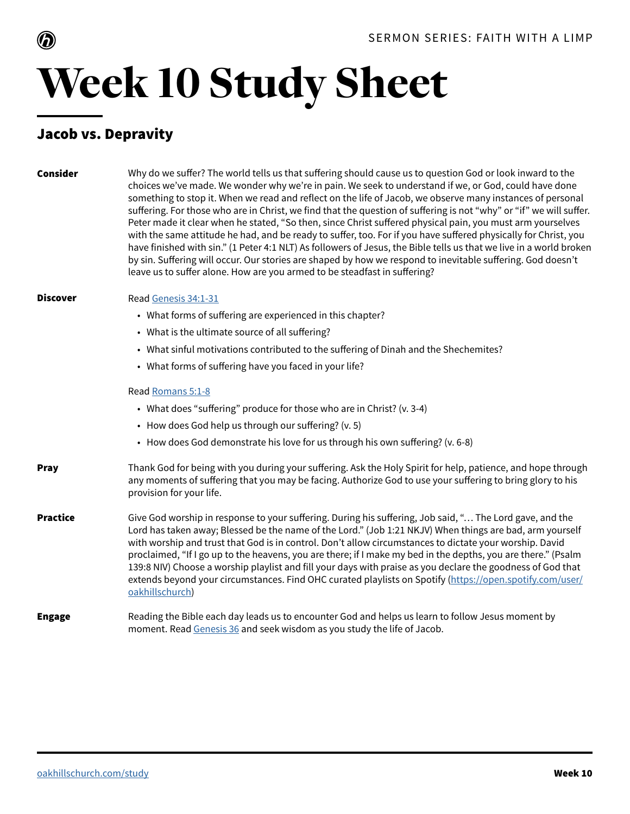

# Week 10 Study Sheet

### Jacob vs. Depravity

| Consider        | Why do we suffer? The world tells us that suffering should cause us to question God or look inward to the<br>choices we've made. We wonder why we're in pain. We seek to understand if we, or God, could have done<br>something to stop it. When we read and reflect on the life of Jacob, we observe many instances of personal<br>suffering. For those who are in Christ, we find that the question of suffering is not "why" or "if" we will suffer.<br>Peter made it clear when he stated, "So then, since Christ suffered physical pain, you must arm yourselves<br>with the same attitude he had, and be ready to suffer, too. For if you have suffered physically for Christ, you<br>have finished with sin." (1 Peter 4:1 NLT) As followers of Jesus, the Bible tells us that we live in a world broken<br>by sin. Suffering will occur. Our stories are shaped by how we respond to inevitable suffering. God doesn't<br>leave us to suffer alone. How are you armed to be steadfast in suffering? |
|-----------------|-------------------------------------------------------------------------------------------------------------------------------------------------------------------------------------------------------------------------------------------------------------------------------------------------------------------------------------------------------------------------------------------------------------------------------------------------------------------------------------------------------------------------------------------------------------------------------------------------------------------------------------------------------------------------------------------------------------------------------------------------------------------------------------------------------------------------------------------------------------------------------------------------------------------------------------------------------------------------------------------------------------|
| <b>Discover</b> | Read Genesis 34:1-31                                                                                                                                                                                                                                                                                                                                                                                                                                                                                                                                                                                                                                                                                                                                                                                                                                                                                                                                                                                        |
|                 | • What forms of suffering are experienced in this chapter?                                                                                                                                                                                                                                                                                                                                                                                                                                                                                                                                                                                                                                                                                                                                                                                                                                                                                                                                                  |
|                 | • What is the ultimate source of all suffering?                                                                                                                                                                                                                                                                                                                                                                                                                                                                                                                                                                                                                                                                                                                                                                                                                                                                                                                                                             |
|                 | • What sinful motivations contributed to the suffering of Dinah and the Shechemites?                                                                                                                                                                                                                                                                                                                                                                                                                                                                                                                                                                                                                                                                                                                                                                                                                                                                                                                        |
|                 | • What forms of suffering have you faced in your life?                                                                                                                                                                                                                                                                                                                                                                                                                                                                                                                                                                                                                                                                                                                                                                                                                                                                                                                                                      |
|                 | Read Romans 5:1-8                                                                                                                                                                                                                                                                                                                                                                                                                                                                                                                                                                                                                                                                                                                                                                                                                                                                                                                                                                                           |
|                 | • What does "suffering" produce for those who are in Christ? (v. 3-4)                                                                                                                                                                                                                                                                                                                                                                                                                                                                                                                                                                                                                                                                                                                                                                                                                                                                                                                                       |
|                 | • How does God help us through our suffering? (v. 5)                                                                                                                                                                                                                                                                                                                                                                                                                                                                                                                                                                                                                                                                                                                                                                                                                                                                                                                                                        |
|                 | • How does God demonstrate his love for us through his own suffering? (v. 6-8)                                                                                                                                                                                                                                                                                                                                                                                                                                                                                                                                                                                                                                                                                                                                                                                                                                                                                                                              |
| Pray            | Thank God for being with you during your suffering. Ask the Holy Spirit for help, patience, and hope through<br>any moments of suffering that you may be facing. Authorize God to use your suffering to bring glory to his<br>provision for your life.                                                                                                                                                                                                                                                                                                                                                                                                                                                                                                                                                                                                                                                                                                                                                      |
| <b>Practice</b> | Give God worship in response to your suffering. During his suffering, Job said, " The Lord gave, and the<br>Lord has taken away; Blessed be the name of the Lord." (Job 1:21 NKJV) When things are bad, arm yourself<br>with worship and trust that God is in control. Don't allow circumstances to dictate your worship. David<br>proclaimed, "If I go up to the heavens, you are there; if I make my bed in the depths, you are there." (Psalm<br>139:8 NIV) Choose a worship playlist and fill your days with praise as you declare the goodness of God that<br>extends beyond your circumstances. Find OHC curated playlists on Spotify (https://open.spotify.com/user/<br>oakhillschurch)                                                                                                                                                                                                                                                                                                              |
| <b>Engage</b>   | Reading the Bible each day leads us to encounter God and helps us learn to follow Jesus moment by<br>moment. Read Genesis 36 and seek wisdom as you study the life of Jacob.                                                                                                                                                                                                                                                                                                                                                                                                                                                                                                                                                                                                                                                                                                                                                                                                                                |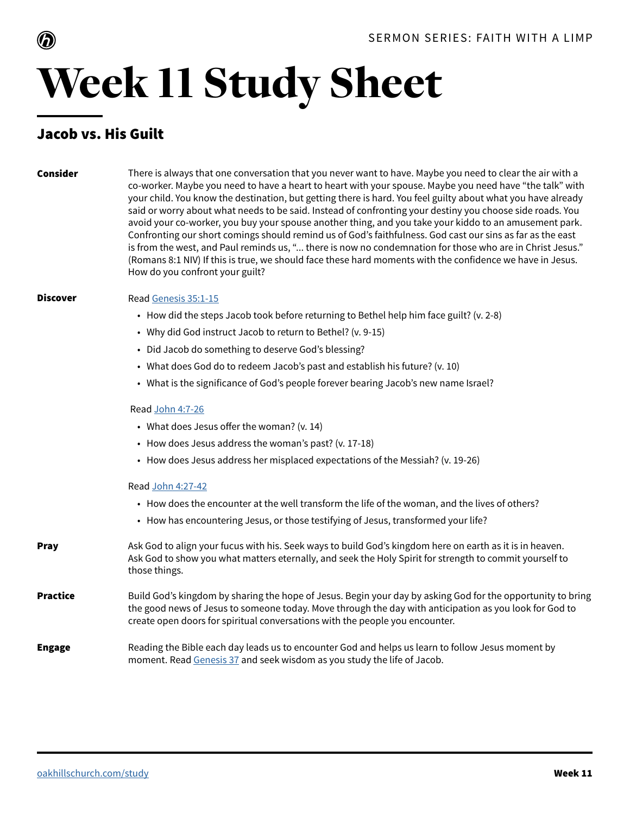

## Week 11 Study Sheet

### Jacob vs. His Guilt

#### Consider

There is always that one conversation that you never want to have. Maybe you need to clear the air with a co-worker. Maybe you need to have a heart to heart with your spouse. Maybe you need have "the talk" with your child. You know the destination, but getting there is hard. You feel guilty about what you have already said or worry about what needs to be said. Instead of confronting your destiny you choose side roads. You avoid your co-worker, you buy your spouse another thing, and you take your kiddo to an amusement park. Confronting our short comings should remind us of God's faithfulness. God cast our sins as far as the east is from the west, and Paul reminds us, "... there is now no condemnation for those who are in Christ Jesus." (Romans 8:1 NIV) If this is true, we should face these hard moments with the confidence we have in Jesus. How do you confront your guilt?

#### **Discover** Read [Genesis 35:1-15](https://www.biblegateway.com/passage/?search=Genesis+35%3A1-15&version=NIV&interface=print)

- How did the steps Jacob took before returning to Bethel help him face guilt? (v. 2-8)
- Why did God instruct Jacob to return to Bethel? (v. 9-15)
- Did Jacob do something to deserve God's blessing?
- What does God do to redeem Jacob's past and establish his future? (v. 10)
- What is the significance of God's people forever bearing Jacob's new name Israel?

#### Read [John 4:7-26](https://www.biblegateway.com/passage/?search=John+4%3A7-26&version=NIV&interface=print)

- What does Jesus offer the woman? (v. 14)
- How does Jesus address the woman's past? (v. 17-18)
- How does Jesus address her misplaced expectations of the Messiah? (v. 19-26)

#### Read [John 4:27-42](https://www.biblegateway.com/passage/?search=John+4%3A27-42&version=NIV&interface=print)

- How does the encounter at the well transform the life of the woman, and the lives of others?
- How has encountering Jesus, or those testifying of Jesus, transformed your life?

#### Ask God to align your fucus with his. Seek ways to build God's kingdom here on earth as it is in heaven. Ask God to show you what matters eternally, and seek the Holy Spirit for strength to commit yourself to those things. Pray Build God's kingdom by sharing the hope of Jesus. Begin your day by asking God for the opportunity to bring the good news of Jesus to someone today. Move through the day with anticipation as you look for God to **Practice**

### create open doors for spiritual conversations with the people you encounter.

#### Reading the Bible each day leads us to encounter God and helps us learn to follow Jesus moment by moment. Read [Genesis 37](https://www.biblegateway.com/passage/?search=Genesis+37&version=NIV&interface=print) and seek wisdom as you study the life of Jacob. Engage